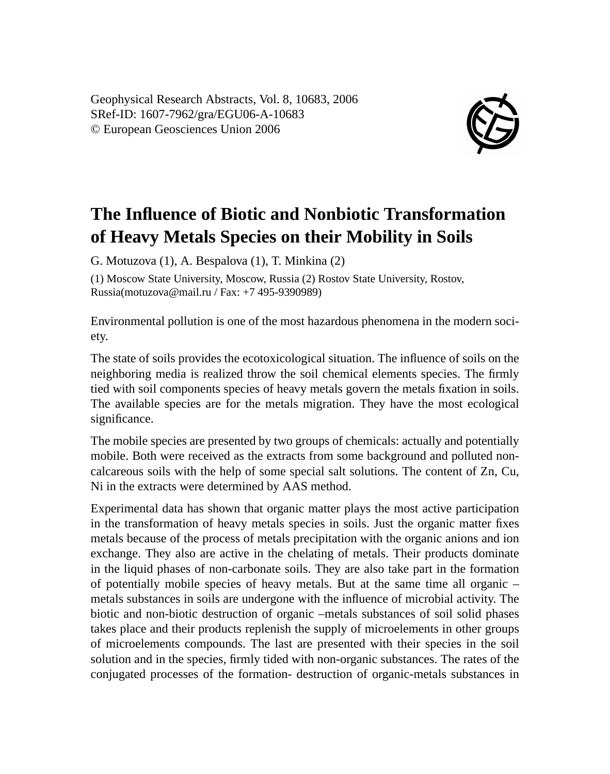Geophysical Research Abstracts, Vol. 8, 10683, 2006 SRef-ID: 1607-7962/gra/EGU06-A-10683 © European Geosciences Union 2006



## **The Influence of Biotic and Nonbiotic Transformation of Heavy Metals Species on their Mobility in Soils**

G. Motuzova (1), A. Bespalova (1), T. Minkina (2)

(1) Moscow State University, Moscow, Russia (2) Rostov State University, Rostov, Russia(motuzova@mail.ru / Fax: +7 495-9390989)

Environmental pollution is one of the most hazardous phenomena in the modern society.

The state of soils provides the ecotoxicological situation. The influence of soils on the neighboring media is realized throw the soil chemical elements species. The firmly tied with soil components species of heavy metals govern the metals fixation in soils. The available species are for the metals migration. They have the most ecological significance.

The mobile species are presented by two groups of chemicals: actually and potentially mobile. Both were received as the extracts from some background and polluted noncalcareous soils with the help of some special salt solutions. The content of Zn, Cu, Ni in the extracts were determined by AAS method.

Experimental data has shown that organic matter plays the most active participation in the transformation of heavy metals species in soils. Just the organic matter fixes metals because of the process of metals precipitation with the organic anions and ion exchange. They also are active in the chelating of metals. Their products dominate in the liquid phases of non-carbonate soils. They are also take part in the formation of potentially mobile species of heavy metals. But at the same time all organic – metals substances in soils are undergone with the influence of microbial activity. The biotic and non-biotic destruction of organic –metals substances of soil solid phases takes place and their products replenish the supply of microelements in other groups of microelements compounds. The last are presented with their species in the soil solution and in the species, firmly tided with non-organic substances. The rates of the conjugated processes of the formation- destruction of organic-metals substances in